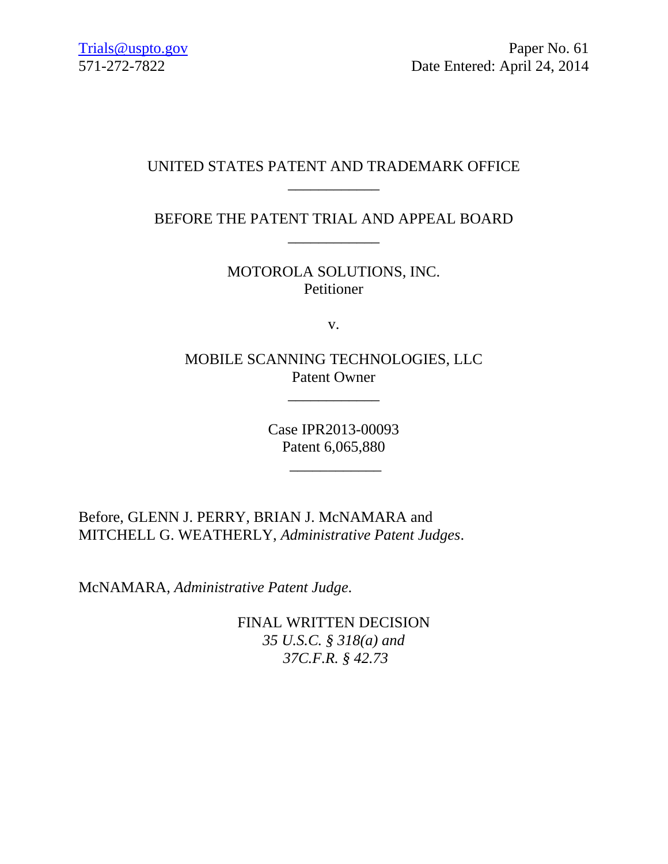# UNITED STATES PATENT AND TRADEMARK OFFICE \_\_\_\_\_\_\_\_\_\_\_\_

BEFORE THE PATENT TRIAL AND APPEAL BOARD \_\_\_\_\_\_\_\_\_\_\_\_

> MOTOROLA SOLUTIONS, INC. Petitioner

> > v.

MOBILE SCANNING TECHNOLOGIES, LLC Patent Owner

\_\_\_\_\_\_\_\_\_\_\_\_

Case IPR2013-00093 Patent 6,065,880

\_\_\_\_\_\_\_\_\_\_\_\_

Before, GLENN J. PERRY, BRIAN J. McNAMARA and MITCHELL G. WEATHERLY, *Administrative Patent Judges*.

McNAMARA, *Administrative Patent Judge*.

FINAL WRITTEN DECISION *35 U.S.C. § 318(a) and 37C.F.R. § 42.73*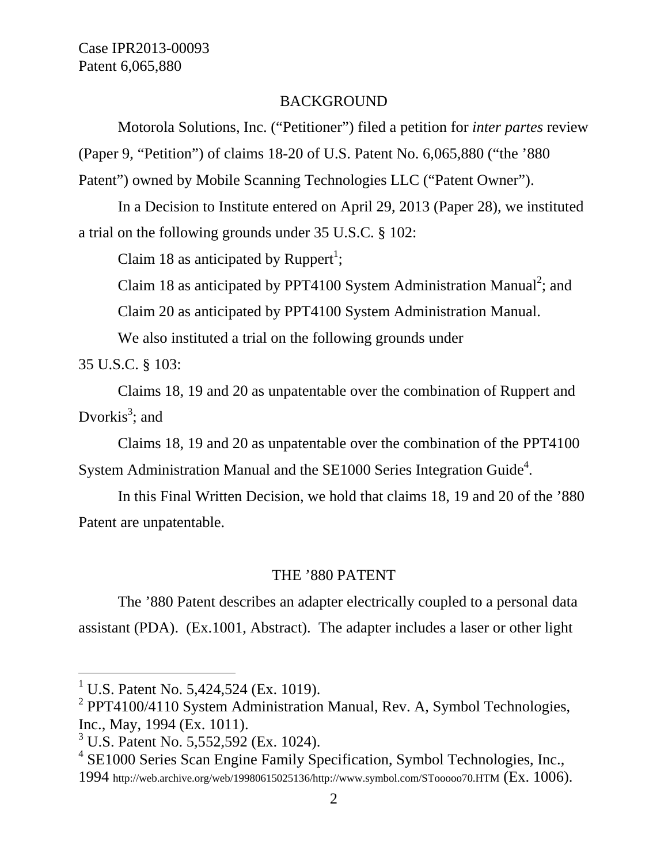## BACKGROUND

Motorola Solutions, Inc. ("Petitioner") filed a petition for *inter partes* review (Paper 9, "Petition") of claims 18-20 of U.S. Patent No. 6,065,880 ("the '880 Patent") owned by Mobile Scanning Technologies LLC ("Patent Owner").

In a Decision to Institute entered on April 29, 2013 (Paper 28), we instituted a trial on the following grounds under 35 U.S.C. § 102:

Claim 18 as anticipated by Ruppert<sup>1</sup>;

Claim 18 as anticipated by PPT4100 System Administration Manual<sup>2</sup>; and

Claim 20 as anticipated by PPT4100 System Administration Manual.

We also instituted a trial on the following grounds under

35 U.S.C. § 103:

l

Claims 18, 19 and 20 as unpatentable over the combination of Ruppert and Dvorkis<sup>3</sup>; and

Claims 18, 19 and 20 as unpatentable over the combination of the PPT4100 System Administration Manual and the SE1000 Series Integration Guide<sup>4</sup>.

In this Final Written Decision, we hold that claims 18, 19 and 20 of the '880 Patent are unpatentable.

## THE '880 PATENT

The '880 Patent describes an adapter electrically coupled to a personal data assistant (PDA). (Ex.1001, Abstract). The adapter includes a laser or other light

<sup>&</sup>lt;sup>1</sup> U.S. Patent No. 5,424,524 (Ex. 1019).

<sup>&</sup>lt;sup>2</sup> PPT4100/4110 System Administration Manual, Rev. A, Symbol Technologies, Inc., May, 1994 (Ex. 1011).

<sup>&</sup>lt;sup>3</sup> U.S. Patent No. 5,552,592 (Ex. 1024).

<sup>4</sup> SE1000 Series Scan Engine Family Specification, Symbol Technologies, Inc.,

<sup>1994</sup> http://web.archive.org/web/19980615025136/http://www.symbol.com/STooooo70.HTM (Ex. 1006).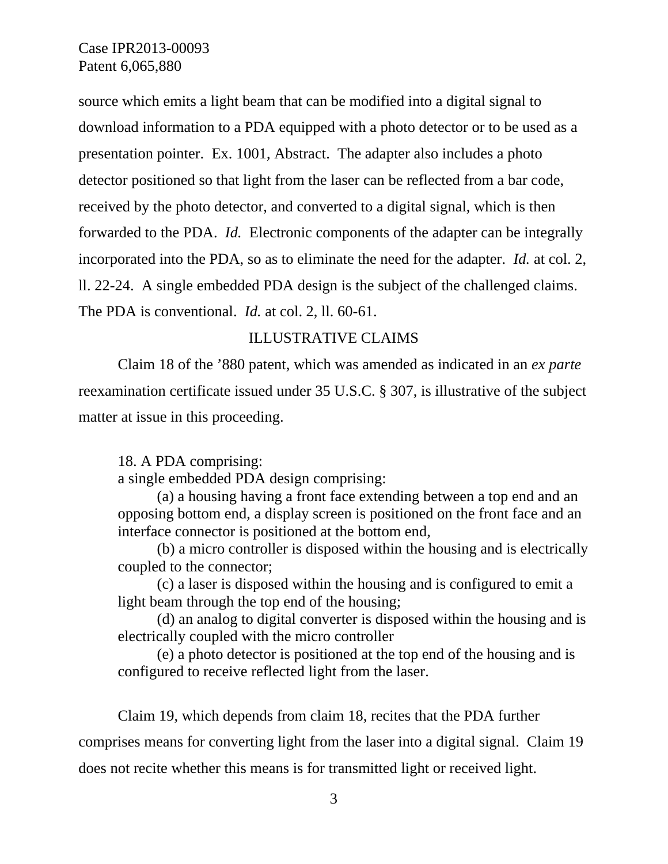source which emits a light beam that can be modified into a digital signal to download information to a PDA equipped with a photo detector or to be used as a presentation pointer. Ex. 1001, Abstract. The adapter also includes a photo detector positioned so that light from the laser can be reflected from a bar code, received by the photo detector, and converted to a digital signal, which is then forwarded to the PDA. *Id.* Electronic components of the adapter can be integrally incorporated into the PDA, so as to eliminate the need for the adapter. *Id.* at col. 2, ll. 22-24. A single embedded PDA design is the subject of the challenged claims. The PDA is conventional. *Id.* at col. 2, ll. 60-61.

## ILLUSTRATIVE CLAIMS

Claim 18 of the '880 patent, which was amended as indicated in an *ex parte* reexamination certificate issued under 35 U.S.C. § 307, is illustrative of the subject matter at issue in this proceeding.

#### 18. A PDA comprising:

a single embedded PDA design comprising:

(a) a housing having a front face extending between a top end and an opposing bottom end, a display screen is positioned on the front face and an interface connector is positioned at the bottom end,

(b) a micro controller is disposed within the housing and is electrically coupled to the connector;

(c) a laser is disposed within the housing and is configured to emit a light beam through the top end of the housing;

(d) an analog to digital converter is disposed within the housing and is electrically coupled with the micro controller

(e) a photo detector is positioned at the top end of the housing and is configured to receive reflected light from the laser.

Claim 19, which depends from claim 18, recites that the PDA further comprises means for converting light from the laser into a digital signal. Claim 19 does not recite whether this means is for transmitted light or received light.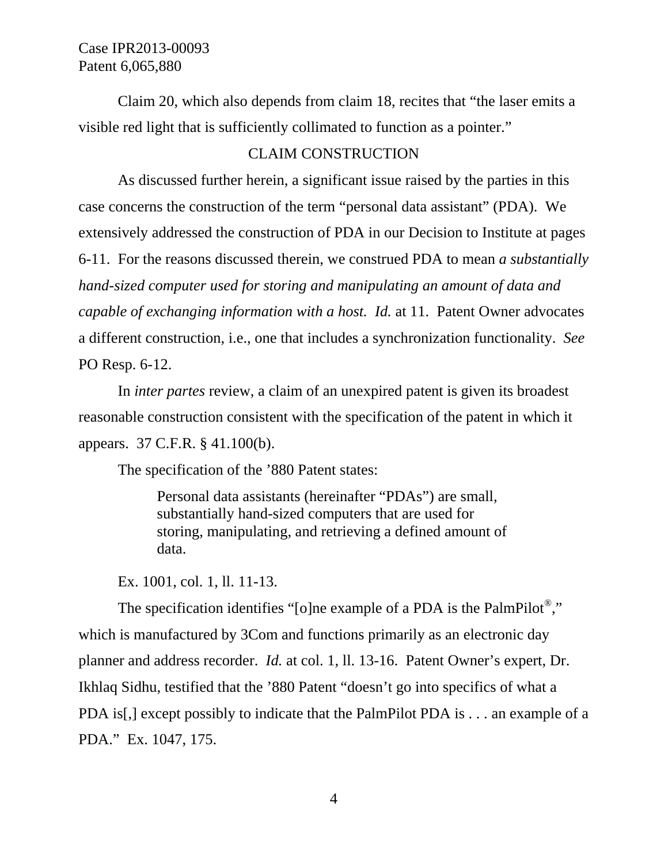Claim 20, which also depends from claim 18, recites that "the laser emits a visible red light that is sufficiently collimated to function as a pointer."

## CLAIM CONSTRUCTION

As discussed further herein, a significant issue raised by the parties in this case concerns the construction of the term "personal data assistant" (PDA). We extensively addressed the construction of PDA in our Decision to Institute at pages 6-11. For the reasons discussed therein, we construed PDA to mean *a substantially hand-sized computer used for storing and manipulating an amount of data and capable of exchanging information with a host. Id.* at 11. Patent Owner advocates a different construction, i.e., one that includes a synchronization functionality. *See*  PO Resp. 6-12.

In *inter partes* review, a claim of an unexpired patent is given its broadest reasonable construction consistent with the specification of the patent in which it appears. 37 C.F.R. § 41.100(b).

The specification of the '880 Patent states:

Personal data assistants (hereinafter "PDAs") are small, substantially hand-sized computers that are used for storing, manipulating, and retrieving a defined amount of data.

Ex. 1001, col. 1, ll. 11-13.

The specification identifies "[o]ne example of a PDA is the PalmPilot<sup>®</sup>," which is manufactured by 3Com and functions primarily as an electronic day planner and address recorder. *Id.* at col. 1, ll. 13-16. Patent Owner's expert, Dr. Ikhlaq Sidhu, testified that the '880 Patent "doesn't go into specifics of what a PDA is[,] except possibly to indicate that the PalmPilot PDA is . . . an example of a PDA." Ex. 1047, 175.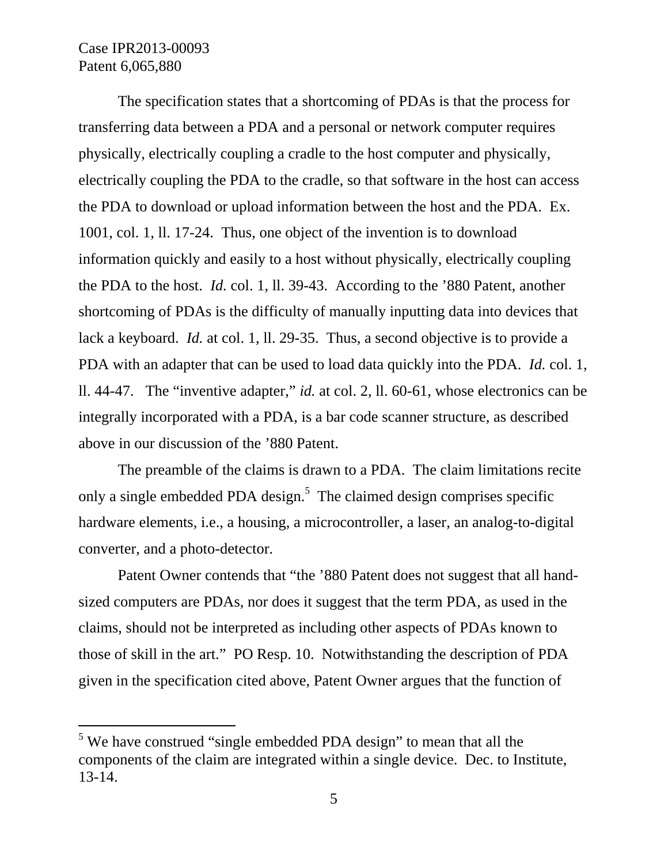-

The specification states that a shortcoming of PDAs is that the process for transferring data between a PDA and a personal or network computer requires physically, electrically coupling a cradle to the host computer and physically, electrically coupling the PDA to the cradle, so that software in the host can access the PDA to download or upload information between the host and the PDA. Ex. 1001, col. 1, ll. 17-24. Thus, one object of the invention is to download information quickly and easily to a host without physically, electrically coupling the PDA to the host. *Id.* col. 1, ll. 39-43. According to the '880 Patent, another shortcoming of PDAs is the difficulty of manually inputting data into devices that lack a keyboard. *Id.* at col. 1, ll. 29-35. Thus, a second objective is to provide a PDA with an adapter that can be used to load data quickly into the PDA. *Id.* col. 1, ll. 44-47. The "inventive adapter," *id.* at col. 2, ll. 60-61, whose electronics can be integrally incorporated with a PDA, is a bar code scanner structure, as described above in our discussion of the '880 Patent.

The preamble of the claims is drawn to a PDA. The claim limitations recite only a single embedded PDA design.<sup>5</sup> The claimed design comprises specific hardware elements, i.e., a housing, a microcontroller, a laser, an analog-to-digital converter, and a photo-detector.

Patent Owner contends that "the '880 Patent does not suggest that all handsized computers are PDAs, nor does it suggest that the term PDA, as used in the claims, should not be interpreted as including other aspects of PDAs known to those of skill in the art." PO Resp. 10. Notwithstanding the description of PDA given in the specification cited above, Patent Owner argues that the function of

 $<sup>5</sup>$  We have construed "single embedded PDA design" to mean that all the</sup> components of the claim are integrated within a single device. Dec. to Institute, 13-14.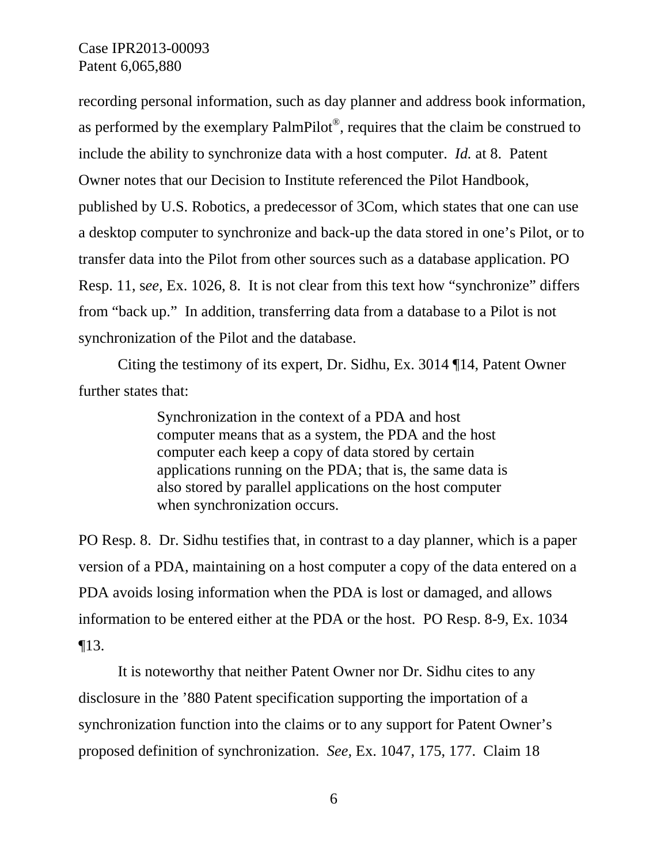recording personal information, such as day planner and address book information, as performed by the exemplary PalmPilot<sup>®</sup>, requires that the claim be construed to include the ability to synchronize data with a host computer. *Id.* at 8. Patent Owner notes that our Decision to Institute referenced the Pilot Handbook, published by U.S. Robotics, a predecessor of 3Com, which states that one can use a desktop computer to synchronize and back-up the data stored in one's Pilot, or to transfer data into the Pilot from other sources such as a database application. PO Resp. 11, s*ee,* Ex. 1026, 8. It is not clear from this text how "synchronize" differs from "back up." In addition, transferring data from a database to a Pilot is not synchronization of the Pilot and the database.

Citing the testimony of its expert, Dr. Sidhu, Ex. 3014 ¶14, Patent Owner further states that:

> Synchronization in the context of a PDA and host computer means that as a system, the PDA and the host computer each keep a copy of data stored by certain applications running on the PDA; that is, the same data is also stored by parallel applications on the host computer when synchronization occurs.

PO Resp. 8. Dr. Sidhu testifies that, in contrast to a day planner, which is a paper version of a PDA, maintaining on a host computer a copy of the data entered on a PDA avoids losing information when the PDA is lost or damaged, and allows information to be entered either at the PDA or the host. PO Resp. 8-9, Ex. 1034 ¶13.

It is noteworthy that neither Patent Owner nor Dr. Sidhu cites to any disclosure in the '880 Patent specification supporting the importation of a synchronization function into the claims or to any support for Patent Owner's proposed definition of synchronization. *See,* Ex. 1047, 175, 177. Claim 18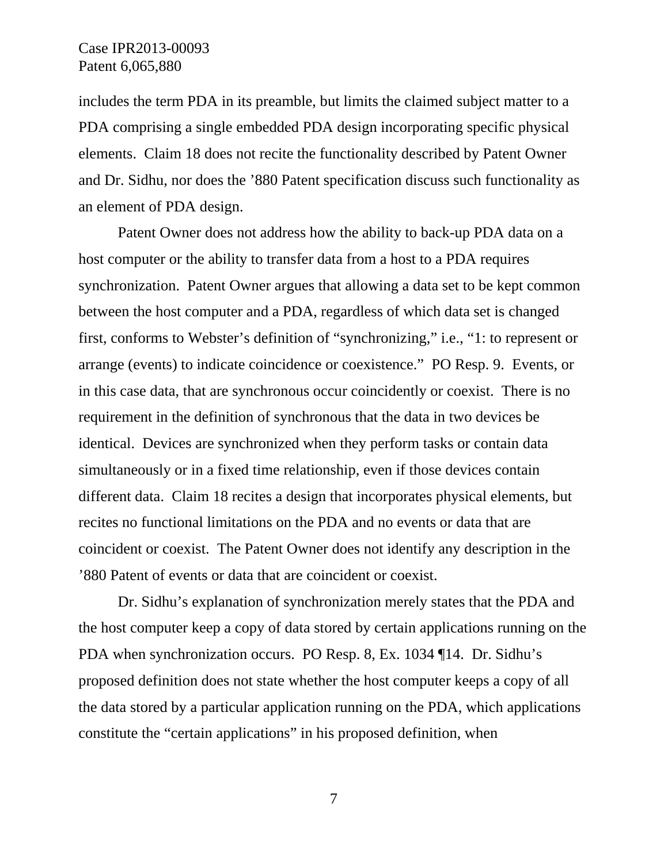includes the term PDA in its preamble, but limits the claimed subject matter to a PDA comprising a single embedded PDA design incorporating specific physical elements. Claim 18 does not recite the functionality described by Patent Owner and Dr. Sidhu, nor does the '880 Patent specification discuss such functionality as an element of PDA design.

Patent Owner does not address how the ability to back-up PDA data on a host computer or the ability to transfer data from a host to a PDA requires synchronization. Patent Owner argues that allowing a data set to be kept common between the host computer and a PDA, regardless of which data set is changed first, conforms to Webster's definition of "synchronizing," i.e., "1: to represent or arrange (events) to indicate coincidence or coexistence." PO Resp. 9. Events, or in this case data, that are synchronous occur coincidently or coexist. There is no requirement in the definition of synchronous that the data in two devices be identical. Devices are synchronized when they perform tasks or contain data simultaneously or in a fixed time relationship, even if those devices contain different data. Claim 18 recites a design that incorporates physical elements, but recites no functional limitations on the PDA and no events or data that are coincident or coexist. The Patent Owner does not identify any description in the '880 Patent of events or data that are coincident or coexist.

Dr. Sidhu's explanation of synchronization merely states that the PDA and the host computer keep a copy of data stored by certain applications running on the PDA when synchronization occurs. PO Resp. 8, Ex. 1034 ¶14. Dr. Sidhu's proposed definition does not state whether the host computer keeps a copy of all the data stored by a particular application running on the PDA, which applications constitute the "certain applications" in his proposed definition, when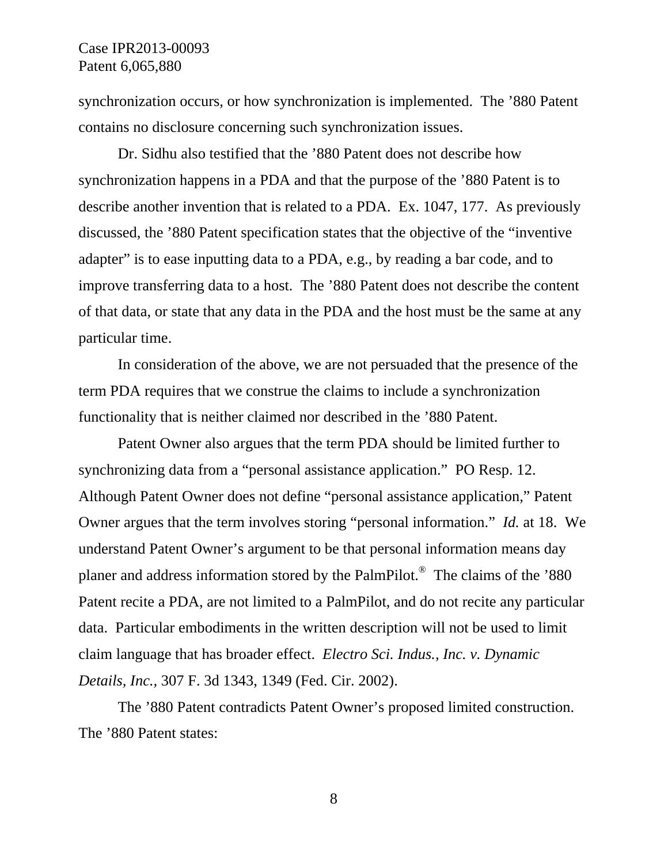synchronization occurs, or how synchronization is implemented. The '880 Patent contains no disclosure concerning such synchronization issues.

Dr. Sidhu also testified that the '880 Patent does not describe how synchronization happens in a PDA and that the purpose of the '880 Patent is to describe another invention that is related to a PDA. Ex. 1047, 177. As previously discussed, the '880 Patent specification states that the objective of the "inventive adapter" is to ease inputting data to a PDA, e.g., by reading a bar code, and to improve transferring data to a host. The '880 Patent does not describe the content of that data, or state that any data in the PDA and the host must be the same at any particular time.

In consideration of the above, we are not persuaded that the presence of the term PDA requires that we construe the claims to include a synchronization functionality that is neither claimed nor described in the '880 Patent.

Patent Owner also argues that the term PDA should be limited further to synchronizing data from a "personal assistance application." PO Resp. 12. Although Patent Owner does not define "personal assistance application," Patent Owner argues that the term involves storing "personal information." *Id.* at 18. We understand Patent Owner's argument to be that personal information means day planer and address information stored by the PalmPilot.® The claims of the '880 Patent recite a PDA, are not limited to a PalmPilot, and do not recite any particular data. Particular embodiments in the written description will not be used to limit claim language that has broader effect. *Electro Sci. Indus., Inc. v. Dynamic Details, Inc.,* 307 F. 3d 1343, 1349 (Fed. Cir. 2002).

The '880 Patent contradicts Patent Owner's proposed limited construction. The '880 Patent states: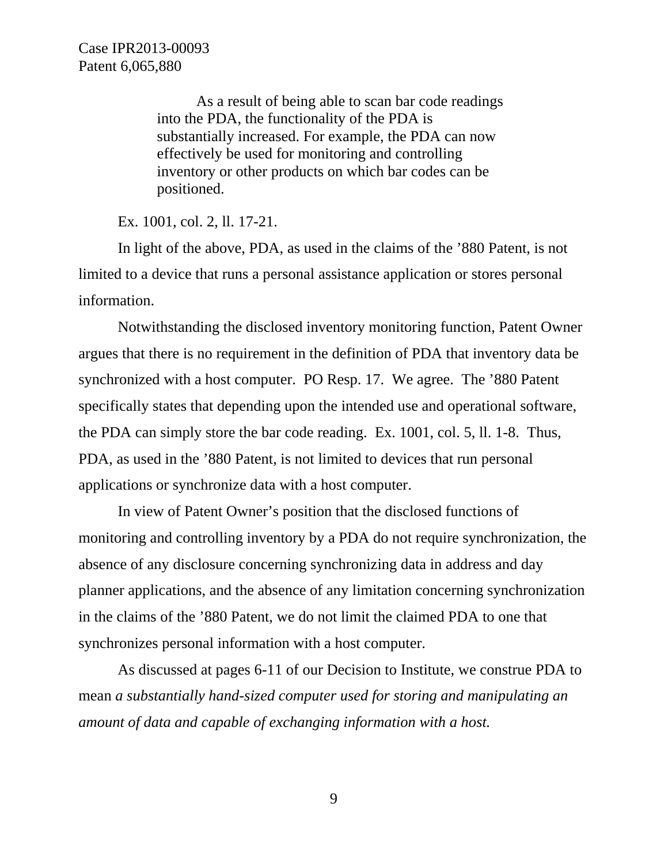As a result of being able to scan bar code readings into the PDA, the functionality of the PDA is substantially increased. For example, the PDA can now effectively be used for monitoring and controlling inventory or other products on which bar codes can be positioned.

Ex. 1001, col. 2, ll. 17-21.

In light of the above, PDA, as used in the claims of the '880 Patent, is not limited to a device that runs a personal assistance application or stores personal information.

Notwithstanding the disclosed inventory monitoring function, Patent Owner argues that there is no requirement in the definition of PDA that inventory data be synchronized with a host computer. PO Resp. 17. We agree. The '880 Patent specifically states that depending upon the intended use and operational software, the PDA can simply store the bar code reading. Ex. 1001, col. 5, ll. 1-8. Thus, PDA, as used in the '880 Patent, is not limited to devices that run personal applications or synchronize data with a host computer.

In view of Patent Owner's position that the disclosed functions of monitoring and controlling inventory by a PDA do not require synchronization, the absence of any disclosure concerning synchronizing data in address and day planner applications, and the absence of any limitation concerning synchronization in the claims of the '880 Patent, we do not limit the claimed PDA to one that synchronizes personal information with a host computer.

As discussed at pages 6-11 of our Decision to Institute, we construe PDA to mean *a substantially hand-sized computer used for storing and manipulating an amount of data and capable of exchanging information with a host.*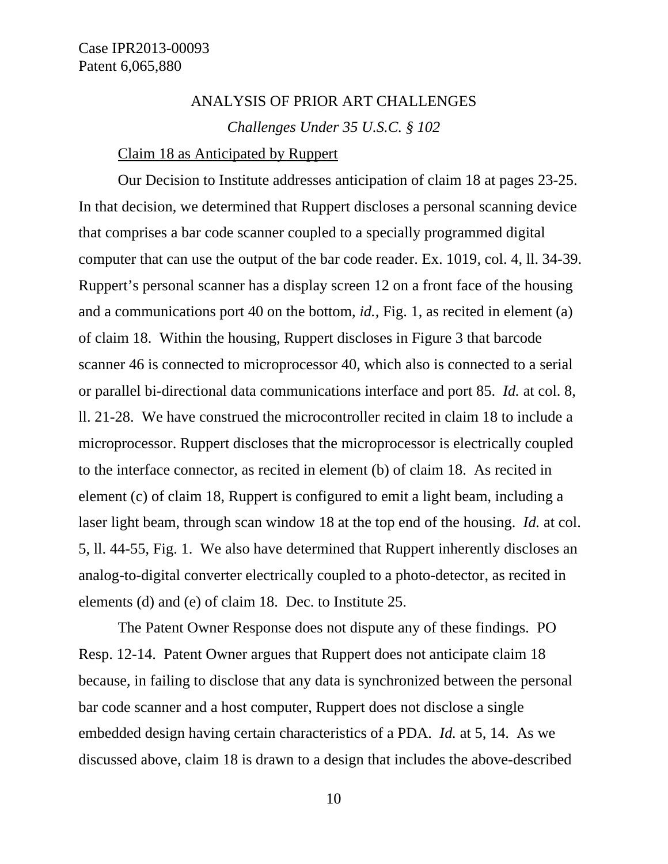# ANALYSIS OF PRIOR ART CHALLENGES *Challenges Under 35 U.S.C. § 102*

### Claim 18 as Anticipated by Ruppert

Our Decision to Institute addresses anticipation of claim 18 at pages 23-25. In that decision, we determined that Ruppert discloses a personal scanning device that comprises a bar code scanner coupled to a specially programmed digital computer that can use the output of the bar code reader. Ex. 1019*,* col. 4, ll. 34-39. Ruppert's personal scanner has a display screen 12 on a front face of the housing and a communications port 40 on the bottom, *id.,* Fig. 1, as recited in element (a) of claim 18. Within the housing, Ruppert discloses in Figure 3 that barcode scanner 46 is connected to microprocessor 40, which also is connected to a serial or parallel bi-directional data communications interface and port 85. *Id.* at col. 8, ll. 21-28. We have construed the microcontroller recited in claim 18 to include a microprocessor. Ruppert discloses that the microprocessor is electrically coupled to the interface connector, as recited in element (b) of claim 18. As recited in element (c) of claim 18, Ruppert is configured to emit a light beam, including a laser light beam, through scan window 18 at the top end of the housing. *Id.* at col. 5, ll. 44-55, Fig. 1. We also have determined that Ruppert inherently discloses an analog-to-digital converter electrically coupled to a photo-detector, as recited in elements (d) and (e) of claim 18. Dec. to Institute 25.

The Patent Owner Response does not dispute any of these findings. PO Resp. 12-14. Patent Owner argues that Ruppert does not anticipate claim 18 because, in failing to disclose that any data is synchronized between the personal bar code scanner and a host computer, Ruppert does not disclose a single embedded design having certain characteristics of a PDA. *Id.* at 5, 14. As we discussed above, claim 18 is drawn to a design that includes the above-described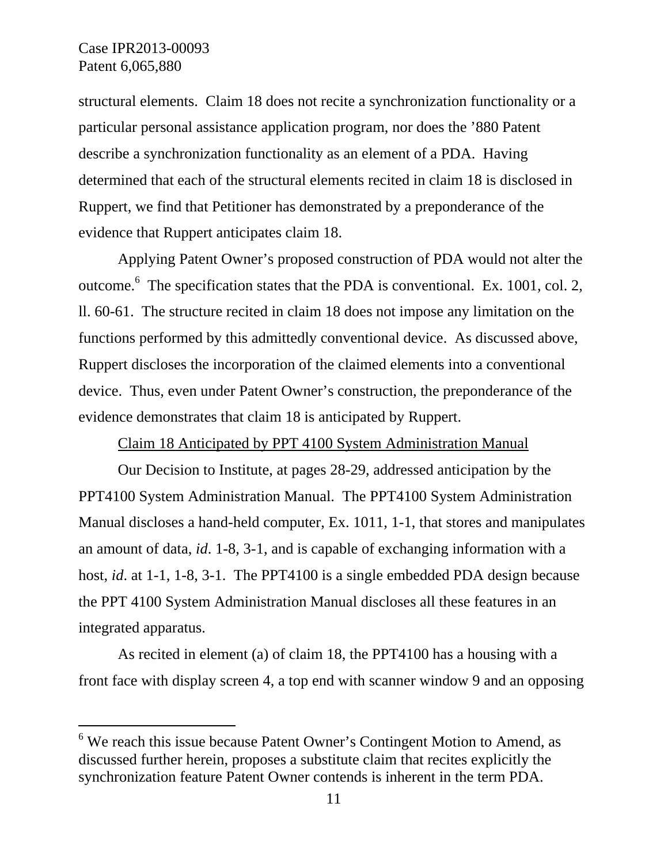$\overline{a}$ 

structural elements. Claim 18 does not recite a synchronization functionality or a particular personal assistance application program, nor does the '880 Patent describe a synchronization functionality as an element of a PDA. Having determined that each of the structural elements recited in claim 18 is disclosed in Ruppert, we find that Petitioner has demonstrated by a preponderance of the evidence that Ruppert anticipates claim 18.

Applying Patent Owner's proposed construction of PDA would not alter the outcome.<sup>6</sup> The specification states that the PDA is conventional. Ex. 1001, col. 2, ll. 60-61. The structure recited in claim 18 does not impose any limitation on the functions performed by this admittedly conventional device. As discussed above, Ruppert discloses the incorporation of the claimed elements into a conventional device. Thus, even under Patent Owner's construction, the preponderance of the evidence demonstrates that claim 18 is anticipated by Ruppert.

Claim 18 Anticipated by PPT 4100 System Administration Manual

Our Decision to Institute, at pages 28-29, addressed anticipation by the PPT4100 System Administration Manual. The PPT4100 System Administration Manual discloses a hand-held computer, Ex. 1011, 1-1, that stores and manipulates an amount of data, *id*. 1-8, 3-1, and is capable of exchanging information with a host, *id*. at 1-1, 1-8, 3-1. The PPT4100 is a single embedded PDA design because the PPT 4100 System Administration Manual discloses all these features in an integrated apparatus.

As recited in element (a) of claim 18, the PPT4100 has a housing with a front face with display screen 4, a top end with scanner window 9 and an opposing

 $6$  We reach this issue because Patent Owner's Contingent Motion to Amend, as discussed further herein, proposes a substitute claim that recites explicitly the synchronization feature Patent Owner contends is inherent in the term PDA.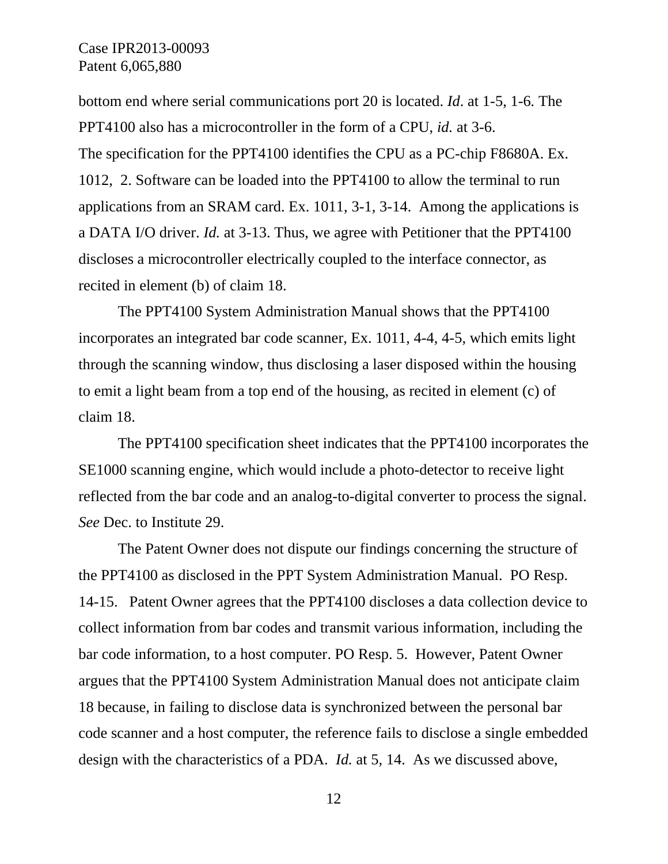bottom end where serial communications port 20 is located. *Id*. at 1-5, 1-6*.* The PPT4100 also has a microcontroller in the form of a CPU, *id.* at 3-6. The specification for the PPT4100 identifies the CPU as a PC-chip F8680A. Ex. 1012, 2. Software can be loaded into the PPT4100 to allow the terminal to run applications from an SRAM card. Ex. 1011, 3-1, 3-14. Among the applications is a DATA I/O driver. *Id.* at 3-13. Thus, we agree with Petitioner that the PPT4100 discloses a microcontroller electrically coupled to the interface connector, as recited in element (b) of claim 18.

The PPT4100 System Administration Manual shows that the PPT4100 incorporates an integrated bar code scanner, Ex. 1011, 4-4, 4-5, which emits light through the scanning window, thus disclosing a laser disposed within the housing to emit a light beam from a top end of the housing, as recited in element (c) of claim 18.

The PPT4100 specification sheet indicates that the PPT4100 incorporates the SE1000 scanning engine, which would include a photo-detector to receive light reflected from the bar code and an analog-to-digital converter to process the signal. *See* Dec. to Institute 29.

The Patent Owner does not dispute our findings concerning the structure of the PPT4100 as disclosed in the PPT System Administration Manual. PO Resp. 14-15. Patent Owner agrees that the PPT4100 discloses a data collection device to collect information from bar codes and transmit various information, including the bar code information, to a host computer. PO Resp. 5. However, Patent Owner argues that the PPT4100 System Administration Manual does not anticipate claim 18 because, in failing to disclose data is synchronized between the personal bar code scanner and a host computer, the reference fails to disclose a single embedded design with the characteristics of a PDA. *Id.* at 5, 14. As we discussed above,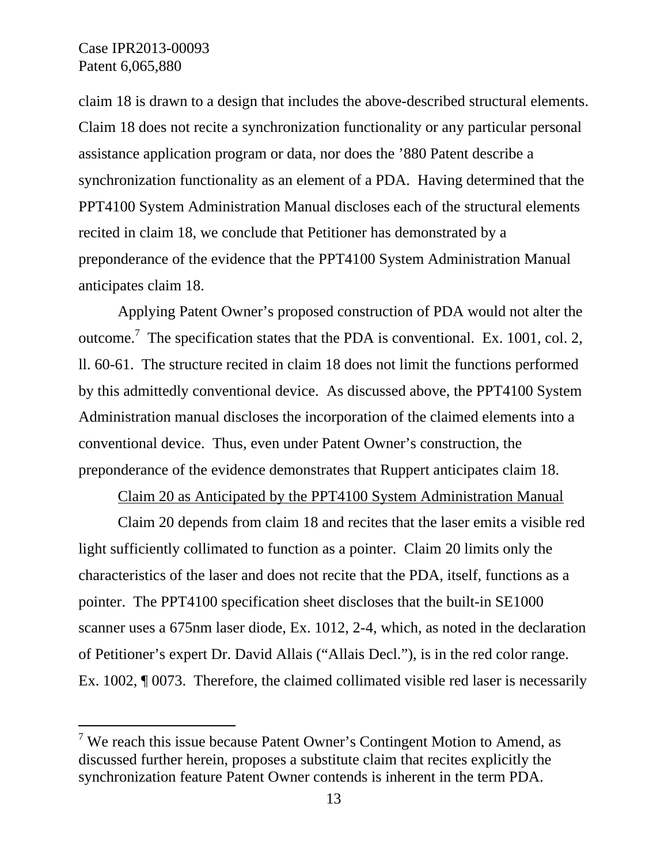-

claim 18 is drawn to a design that includes the above-described structural elements. Claim 18 does not recite a synchronization functionality or any particular personal assistance application program or data, nor does the '880 Patent describe a synchronization functionality as an element of a PDA. Having determined that the PPT4100 System Administration Manual discloses each of the structural elements recited in claim 18, we conclude that Petitioner has demonstrated by a preponderance of the evidence that the PPT4100 System Administration Manual anticipates claim 18.

Applying Patent Owner's proposed construction of PDA would not alter the outcome.<sup>7</sup> The specification states that the PDA is conventional. Ex. 1001, col. 2, ll. 60-61. The structure recited in claim 18 does not limit the functions performed by this admittedly conventional device. As discussed above, the PPT4100 System Administration manual discloses the incorporation of the claimed elements into a conventional device. Thus, even under Patent Owner's construction, the preponderance of the evidence demonstrates that Ruppert anticipates claim 18.

Claim 20 as Anticipated by the PPT4100 System Administration Manual

Claim 20 depends from claim 18 and recites that the laser emits a visible red light sufficiently collimated to function as a pointer. Claim 20 limits only the characteristics of the laser and does not recite that the PDA, itself, functions as a pointer. The PPT4100 specification sheet discloses that the built-in SE1000 scanner uses a 675nm laser diode, Ex. 1012, 2-4, which, as noted in the declaration of Petitioner's expert Dr. David Allais ("Allais Decl."), is in the red color range. Ex. 1002, ¶ 0073. Therefore, the claimed collimated visible red laser is necessarily

<sup>&</sup>lt;sup>7</sup> We reach this issue because Patent Owner's Contingent Motion to Amend, as discussed further herein, proposes a substitute claim that recites explicitly the synchronization feature Patent Owner contends is inherent in the term PDA.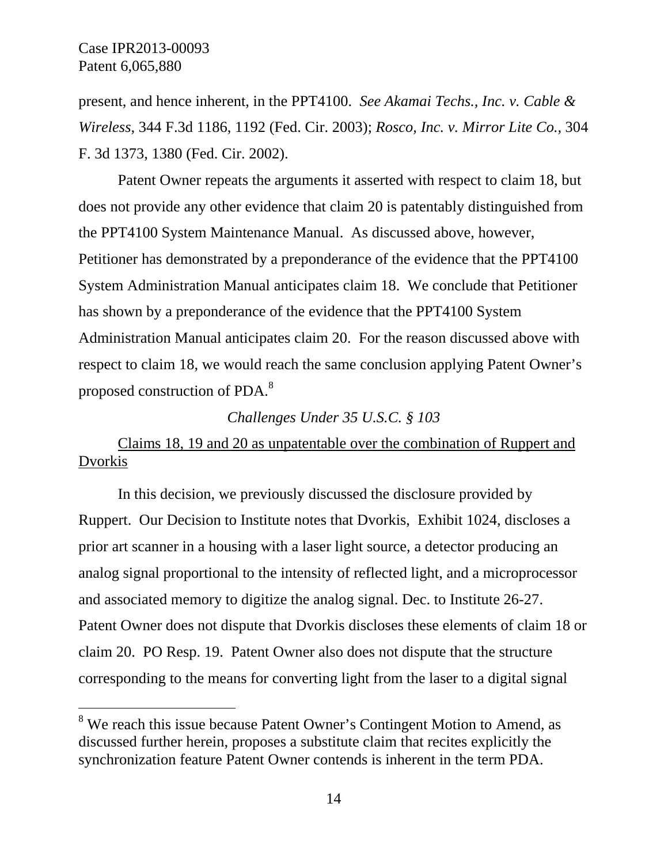$\overline{a}$ 

present, and hence inherent, in the PPT4100. *See Akamai Techs., Inc. v. Cable & Wireless*, 344 F.3d 1186, 1192 (Fed. Cir. 2003); *Rosco, Inc. v. Mirror Lite Co.,* 304 F. 3d 1373, 1380 (Fed. Cir. 2002).

Patent Owner repeats the arguments it asserted with respect to claim 18, but does not provide any other evidence that claim 20 is patentably distinguished from the PPT4100 System Maintenance Manual. As discussed above, however, Petitioner has demonstrated by a preponderance of the evidence that the PPT4100 System Administration Manual anticipates claim 18. We conclude that Petitioner has shown by a preponderance of the evidence that the PPT4100 System Administration Manual anticipates claim 20. For the reason discussed above with respect to claim 18, we would reach the same conclusion applying Patent Owner's proposed construction of PDA.<sup>8</sup>

## *Challenges Under 35 U.S.C. § 103*

Claims 18, 19 and 20 as unpatentable over the combination of Ruppert and **Dvorkis** 

In this decision, we previously discussed the disclosure provided by Ruppert. Our Decision to Institute notes that Dvorkis, Exhibit 1024, discloses a prior art scanner in a housing with a laser light source, a detector producing an analog signal proportional to the intensity of reflected light, and a microprocessor and associated memory to digitize the analog signal. Dec. to Institute 26-27. Patent Owner does not dispute that Dvorkis discloses these elements of claim 18 or claim 20. PO Resp. 19. Patent Owner also does not dispute that the structure corresponding to the means for converting light from the laser to a digital signal

<sup>&</sup>lt;sup>8</sup> We reach this issue because Patent Owner's Contingent Motion to Amend, as discussed further herein, proposes a substitute claim that recites explicitly the synchronization feature Patent Owner contends is inherent in the term PDA.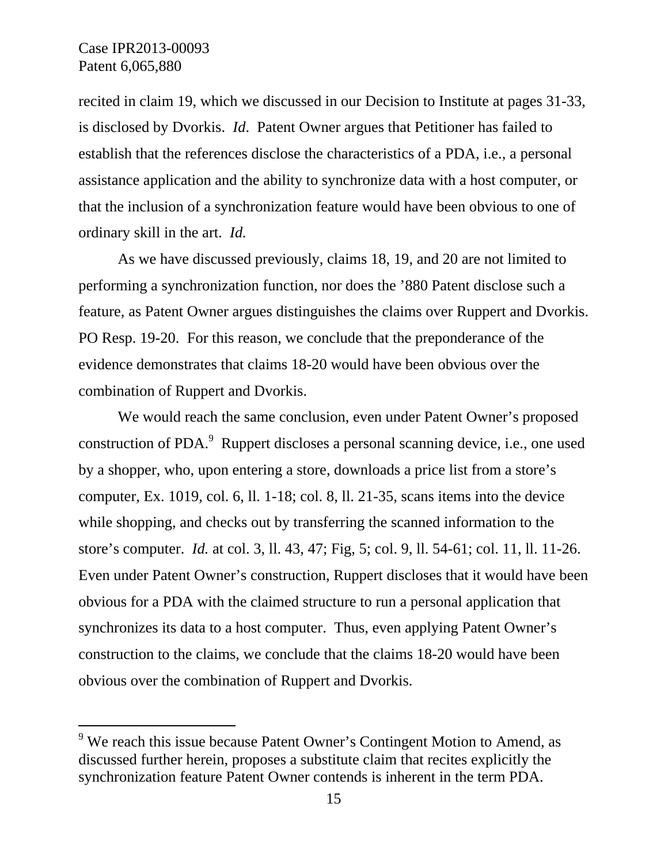-

recited in claim 19, which we discussed in our Decision to Institute at pages 31-33, is disclosed by Dvorkis. *Id*. Patent Owner argues that Petitioner has failed to establish that the references disclose the characteristics of a PDA, i.e., a personal assistance application and the ability to synchronize data with a host computer, or that the inclusion of a synchronization feature would have been obvious to one of ordinary skill in the art. *Id.*

As we have discussed previously, claims 18, 19, and 20 are not limited to performing a synchronization function, nor does the '880 Patent disclose such a feature, as Patent Owner argues distinguishes the claims over Ruppert and Dvorkis. PO Resp. 19-20. For this reason, we conclude that the preponderance of the evidence demonstrates that claims 18-20 would have been obvious over the combination of Ruppert and Dvorkis.

We would reach the same conclusion, even under Patent Owner's proposed construction of PDA.<sup>9</sup> Ruppert discloses a personal scanning device, i.e., one used by a shopper, who, upon entering a store, downloads a price list from a store's computer, Ex. 1019, col. 6, ll. 1-18; col. 8, ll. 21-35, scans items into the device while shopping, and checks out by transferring the scanned information to the store's computer. *Id.* at col. 3, ll. 43, 47; Fig, 5; col. 9, ll. 54-61; col. 11, ll. 11-26. Even under Patent Owner's construction, Ruppert discloses that it would have been obvious for a PDA with the claimed structure to run a personal application that synchronizes its data to a host computer. Thus, even applying Patent Owner's construction to the claims, we conclude that the claims 18-20 would have been obvious over the combination of Ruppert and Dvorkis.

 $9$  We reach this issue because Patent Owner's Contingent Motion to Amend, as discussed further herein, proposes a substitute claim that recites explicitly the synchronization feature Patent Owner contends is inherent in the term PDA.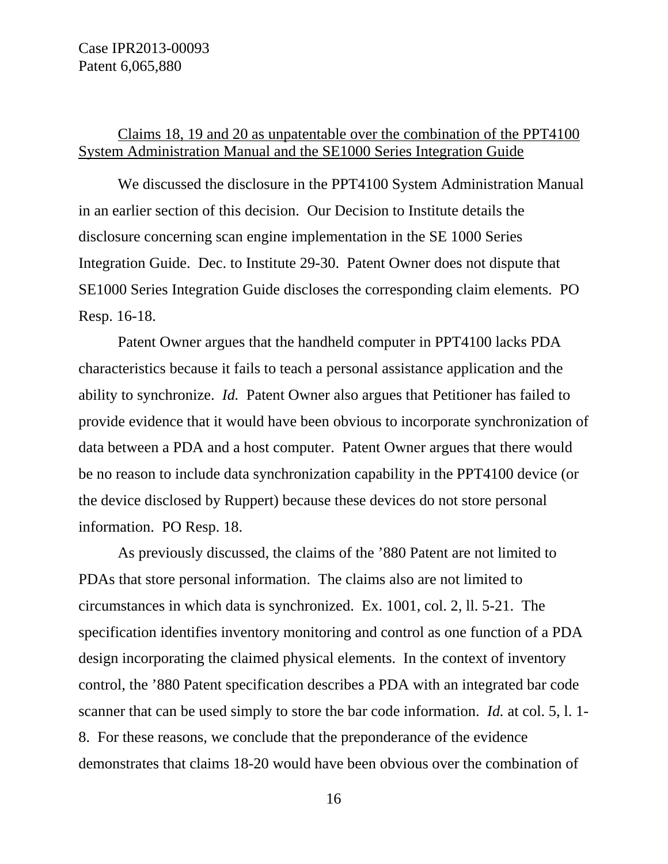## Claims 18, 19 and 20 as unpatentable over the combination of the PPT4100 System Administration Manual and the SE1000 Series Integration Guide

We discussed the disclosure in the PPT4100 System Administration Manual in an earlier section of this decision. Our Decision to Institute details the disclosure concerning scan engine implementation in the SE 1000 Series Integration Guide. Dec. to Institute 29-30. Patent Owner does not dispute that SE1000 Series Integration Guide discloses the corresponding claim elements. PO Resp. 16-18.

Patent Owner argues that the handheld computer in PPT4100 lacks PDA characteristics because it fails to teach a personal assistance application and the ability to synchronize. *Id.* Patent Owner also argues that Petitioner has failed to provide evidence that it would have been obvious to incorporate synchronization of data between a PDA and a host computer. Patent Owner argues that there would be no reason to include data synchronization capability in the PPT4100 device (or the device disclosed by Ruppert) because these devices do not store personal information. PO Resp. 18.

As previously discussed, the claims of the '880 Patent are not limited to PDAs that store personal information. The claims also are not limited to circumstances in which data is synchronized. Ex. 1001, col. 2, ll. 5-21. The specification identifies inventory monitoring and control as one function of a PDA design incorporating the claimed physical elements. In the context of inventory control, the '880 Patent specification describes a PDA with an integrated bar code scanner that can be used simply to store the bar code information. *Id.* at col. 5, l. 1- 8. For these reasons, we conclude that the preponderance of the evidence demonstrates that claims 18-20 would have been obvious over the combination of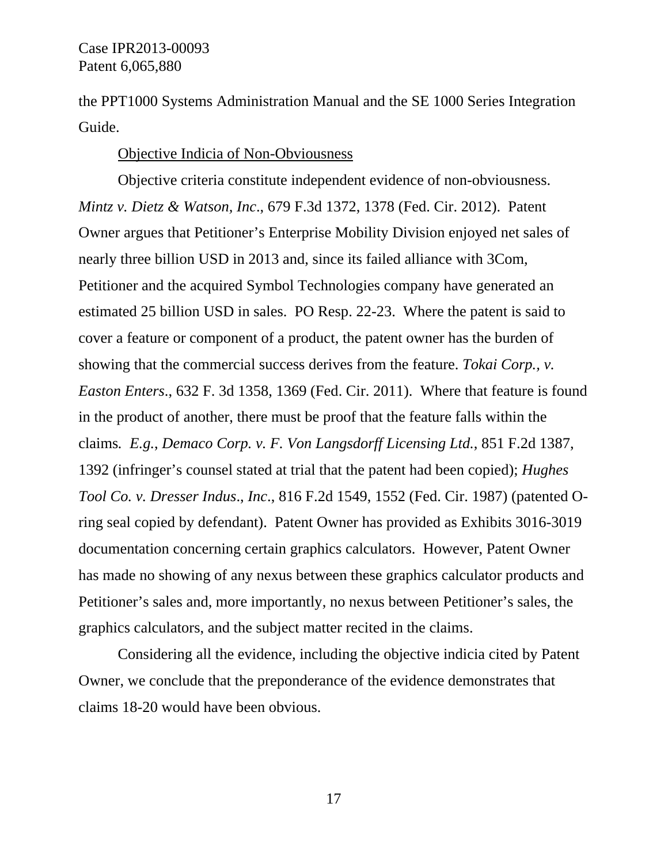the PPT1000 Systems Administration Manual and the SE 1000 Series Integration Guide.

## Objective Indicia of Non-Obviousness

Objective criteria constitute independent evidence of non-obviousness. *Mintz v. Dietz & Watson, Inc*., 679 F.3d 1372, 1378 (Fed. Cir. 2012). Patent Owner argues that Petitioner's Enterprise Mobility Division enjoyed net sales of nearly three billion USD in 2013 and, since its failed alliance with 3Com, Petitioner and the acquired Symbol Technologies company have generated an estimated 25 billion USD in sales. PO Resp. 22-23. Where the patent is said to cover a feature or component of a product, the patent owner has the burden of showing that the commercial success derives from the feature. *Tokai Corp., v. Easton Enters*., 632 F. 3d 1358, 1369 (Fed. Cir. 2011). Where that feature is found in the product of another, there must be proof that the feature falls within the claims*. E.g.*, *Demaco Corp. v. F. Von Langsdorff Licensing Ltd.*, 851 F.2d 1387, 1392 (infringer's counsel stated at trial that the patent had been copied); *Hughes Tool Co. v. Dresser Indus*., *Inc*., 816 F.2d 1549, 1552 (Fed. Cir. 1987) (patented Oring seal copied by defendant). Patent Owner has provided as Exhibits 3016-3019 documentation concerning certain graphics calculators. However, Patent Owner has made no showing of any nexus between these graphics calculator products and Petitioner's sales and, more importantly, no nexus between Petitioner's sales, the graphics calculators, and the subject matter recited in the claims.

Considering all the evidence, including the objective indicia cited by Patent Owner, we conclude that the preponderance of the evidence demonstrates that claims 18-20 would have been obvious.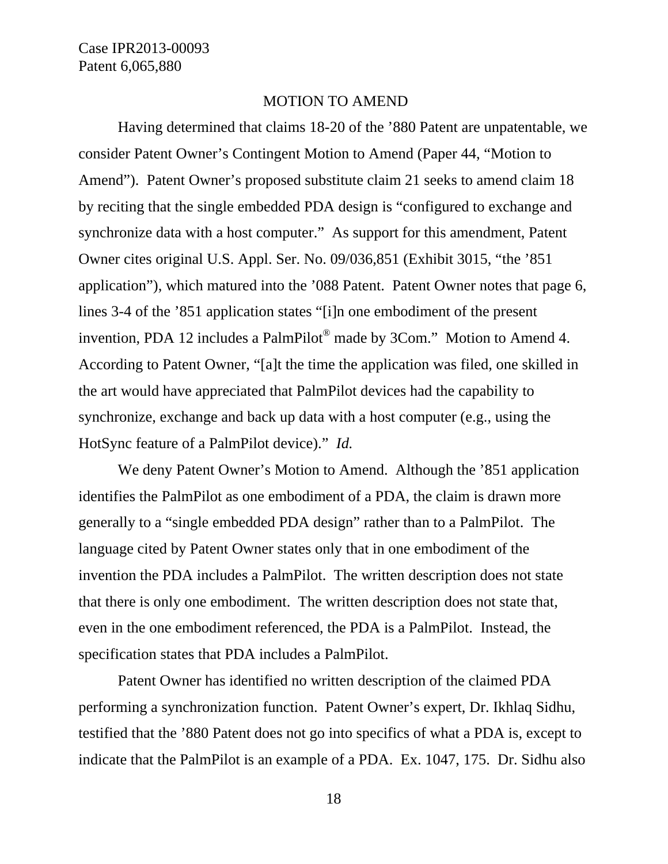#### MOTION TO AMEND

Having determined that claims 18-20 of the '880 Patent are unpatentable, we consider Patent Owner's Contingent Motion to Amend (Paper 44, "Motion to Amend"). Patent Owner's proposed substitute claim 21 seeks to amend claim 18 by reciting that the single embedded PDA design is "configured to exchange and synchronize data with a host computer." As support for this amendment, Patent Owner cites original U.S. Appl. Ser. No. 09/036,851 (Exhibit 3015, "the '851 application"), which matured into the '088 Patent. Patent Owner notes that page 6, lines 3-4 of the '851 application states "[i]n one embodiment of the present invention, PDA 12 includes a PalmPilot® made by 3Com." Motion to Amend 4. According to Patent Owner, "[a]t the time the application was filed, one skilled in the art would have appreciated that PalmPilot devices had the capability to synchronize, exchange and back up data with a host computer (e.g., using the HotSync feature of a PalmPilot device)." *Id.*

We deny Patent Owner's Motion to Amend. Although the '851 application identifies the PalmPilot as one embodiment of a PDA, the claim is drawn more generally to a "single embedded PDA design" rather than to a PalmPilot. The language cited by Patent Owner states only that in one embodiment of the invention the PDA includes a PalmPilot. The written description does not state that there is only one embodiment. The written description does not state that, even in the one embodiment referenced, the PDA is a PalmPilot. Instead, the specification states that PDA includes a PalmPilot.

Patent Owner has identified no written description of the claimed PDA performing a synchronization function. Patent Owner's expert, Dr. Ikhlaq Sidhu, testified that the '880 Patent does not go into specifics of what a PDA is, except to indicate that the PalmPilot is an example of a PDA. Ex. 1047, 175. Dr. Sidhu also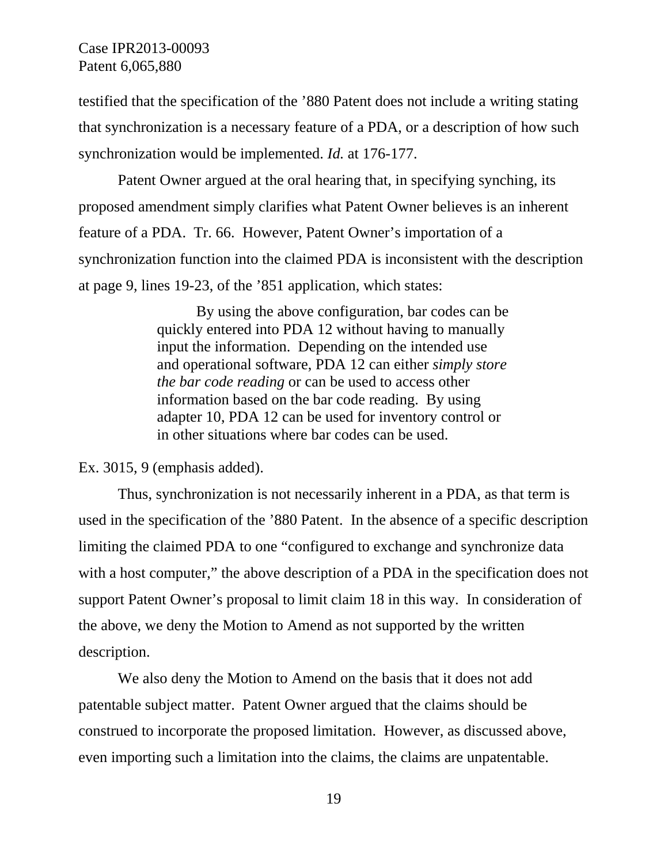testified that the specification of the '880 Patent does not include a writing stating that synchronization is a necessary feature of a PDA, or a description of how such synchronization would be implemented. *Id.* at 176-177.

Patent Owner argued at the oral hearing that, in specifying synching, its proposed amendment simply clarifies what Patent Owner believes is an inherent feature of a PDA. Tr. 66. However, Patent Owner's importation of a synchronization function into the claimed PDA is inconsistent with the description at page 9, lines 19-23, of the '851 application, which states:

> By using the above configuration, bar codes can be quickly entered into PDA 12 without having to manually input the information. Depending on the intended use and operational software, PDA 12 can either *simply store the bar code reading* or can be used to access other information based on the bar code reading. By using adapter 10, PDA 12 can be used for inventory control or in other situations where bar codes can be used.

Ex. 3015, 9 (emphasis added).

Thus, synchronization is not necessarily inherent in a PDA, as that term is used in the specification of the '880 Patent. In the absence of a specific description limiting the claimed PDA to one "configured to exchange and synchronize data with a host computer," the above description of a PDA in the specification does not support Patent Owner's proposal to limit claim 18 in this way. In consideration of the above, we deny the Motion to Amend as not supported by the written description.

We also deny the Motion to Amend on the basis that it does not add patentable subject matter. Patent Owner argued that the claims should be construed to incorporate the proposed limitation. However, as discussed above, even importing such a limitation into the claims, the claims are unpatentable.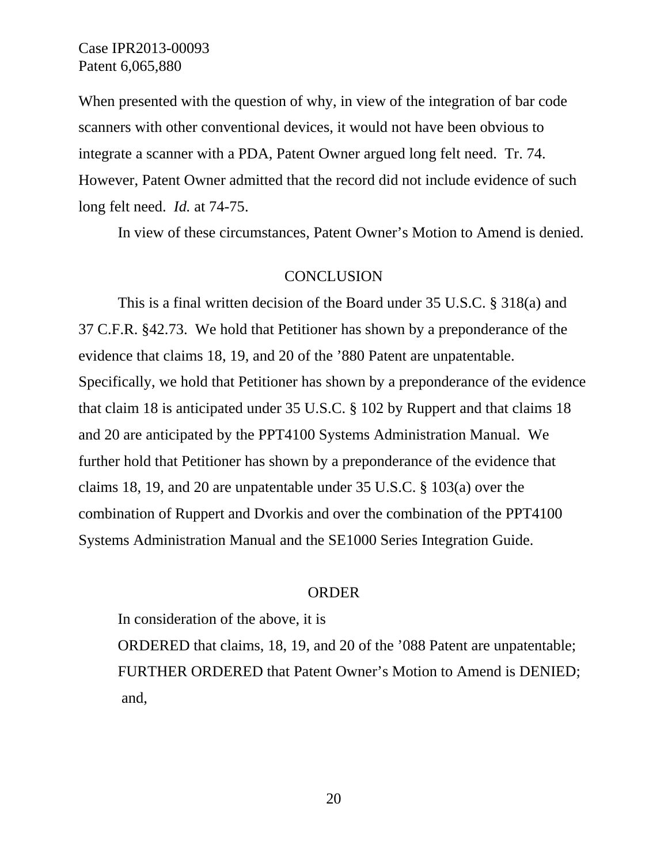When presented with the question of why, in view of the integration of bar code scanners with other conventional devices, it would not have been obvious to integrate a scanner with a PDA, Patent Owner argued long felt need. Tr. 74. However, Patent Owner admitted that the record did not include evidence of such long felt need. *Id.* at 74-75.

In view of these circumstances, Patent Owner's Motion to Amend is denied.

### **CONCLUSION**

This is a final written decision of the Board under 35 U.S.C. § 318(a) and 37 C.F.R. §42.73. We hold that Petitioner has shown by a preponderance of the evidence that claims 18, 19, and 20 of the '880 Patent are unpatentable. Specifically, we hold that Petitioner has shown by a preponderance of the evidence that claim 18 is anticipated under 35 U.S.C. § 102 by Ruppert and that claims 18 and 20 are anticipated by the PPT4100 Systems Administration Manual. We further hold that Petitioner has shown by a preponderance of the evidence that claims 18, 19, and 20 are unpatentable under 35 U.S.C. § 103(a) over the combination of Ruppert and Dvorkis and over the combination of the PPT4100 Systems Administration Manual and the SE1000 Series Integration Guide.

## ORDER

In consideration of the above, it is

ORDERED that claims, 18, 19, and 20 of the '088 Patent are unpatentable; FURTHER ORDERED that Patent Owner's Motion to Amend is DENIED; and,